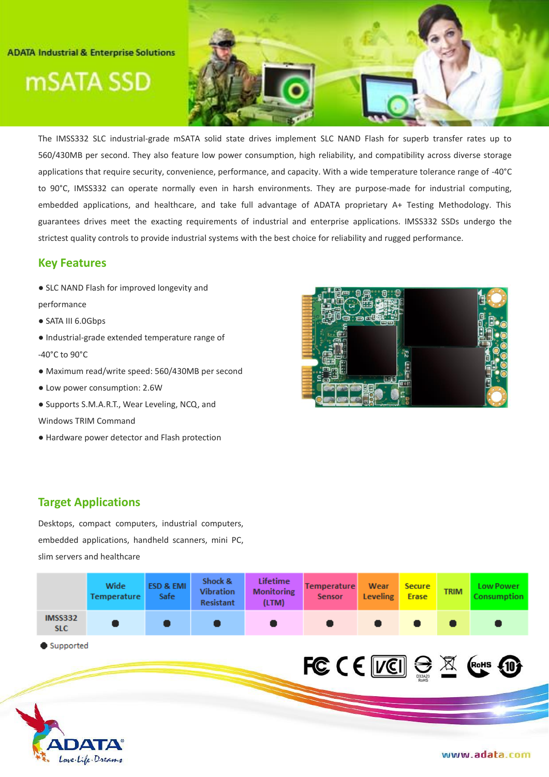### **ADATA Industrial & Enterprise Solutions**

mSATA SSD



The IMSS332 SLC industrial-grade mSATA solid state drives implement SLC NAND Flash for superb transfer rates up to 560/430MB per second. They also feature low power consumption, high reliability, and compatibility across diverse storage applications that require security, convenience, performance, and capacity. With a wide temperature tolerance range of -40°C to 90°C, IMSS332 can operate normally even in harsh environments. They are purpose-made for industrial computing, embedded applications, and healthcare, and take full advantage of ADATA proprietary A+ Testing Methodology. This guarantees drives meet the exacting requirements of industrial and enterprise applications. IMSS332 SSDs undergo the strictest quality controls to provide industrial systems with the best choice for reliability and rugged performance.

## **Key Features**

- SLC NAND Flash for improved longevity and
- performance
- SATA III 6.0Gbps
- Industrial-grade extended temperature range of -40°C to 90°C
- Maximum read/write speed: 560/430MB per second
- Low power consumption: 2.6W
- Supports S.M.A.R.T., Wear Leveling, NCQ, and
- Windows TRIM Command
- Hardware power detector and Flash protection



## **Target Applications**

Desktops, compact computers, industrial computers, embedded applications, handheld scanners, mini PC, slim servers and healthcare

|                              | Wide<br>Temperature | <b>ESD &amp; EMI</b><br><b>Safe</b> | Shock &<br><b>Vibration</b><br><b>Resistant</b> | <b>Lifetime</b><br><b>Monitoring</b><br>(LTM) | <b>Temperature</b><br><b>Sensor</b> | Wear<br><b>Leveling</b> | <b>Secure</b><br><b>Erase</b> | <b>TRIM</b> | <b>Low Power</b><br><b>Consumption</b> |
|------------------------------|---------------------|-------------------------------------|-------------------------------------------------|-----------------------------------------------|-------------------------------------|-------------------------|-------------------------------|-------------|----------------------------------------|
| <b>IMSS332</b><br><b>SLC</b> |                     |                                     |                                                 |                                               |                                     |                         |                               |             |                                        |
| Supported                    |                     |                                     |                                                 |                                               | <b>FC CE VEI SE X Costs 100</b>     |                         |                               |             |                                        |
| <b>ADATA®</b>                | Love. Life. Dreams  |                                     |                                                 |                                               |                                     |                         |                               |             | www.adata.com                          |